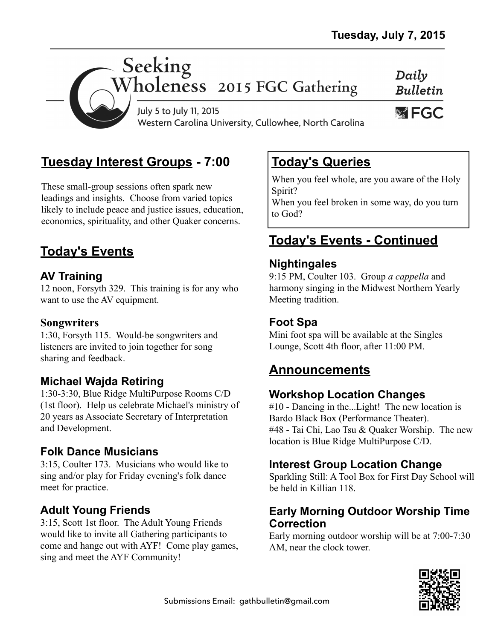

# **Tuesday Interest Groups - 7:00**

These small-group sessions often spark new leadings and insights. Choose from varied topics likely to include peace and justice issues, education, economics, spirituality, and other Quaker concerns.

# **Today's Events**

### **AV Training**

12 noon, Forsyth 329. This training is for any who want to use the AV equipment.

#### **Songwriters**

1:30, Forsyth 115. Would-be songwriters and listeners are invited to join together for song sharing and feedback.

### **Michael Wajda Retiring**

1:30-3:30, Blue Ridge MultiPurpose Rooms C/D (1st floor). Help us celebrate Michael's ministry of 20 years as Associate Secretary of Interpretation and Development.

#### **Folk Dance Musicians**

3:15, Coulter 173. Musicians who would like to sing and/or play for Friday evening's folk dance meet for practice.

### **Adult Young Friends**

3:15, Scott 1st floor. The Adult Young Friends would like to invite all Gathering participants to come and hange out with AYF! Come play games, sing and meet the AYF Community!

# **Today's Queries**

When you feel whole, are you aware of the Holy Spirit?

When you feel broken in some way, do you turn to God?

# **Today's Events - Continued**

#### **Nightingales**

9:15 PM, Coulter 103. Group *a cappella* and harmony singing in the Midwest Northern Yearly Meeting tradition.

#### **Foot Spa**

Mini foot spa will be available at the Singles Lounge, Scott 4th floor, after 11:00 PM.

## **Announcements**

#### **Workshop Location Changes**

#10 - Dancing in the...Light! The new location is Bardo Black Box (Performance Theater). #48 - Tai Chi, Lao Tsu & Quaker Worship. The new location is Blue Ridge MultiPurpose C/D.

### **Interest Group Location Change**

Sparkling Still: A Tool Box for First Day School will be held in Killian 118.

#### **Early Morning Outdoor Worship Time Correction**

Early morning outdoor worship will be at 7:00-7:30 AM, near the clock tower.

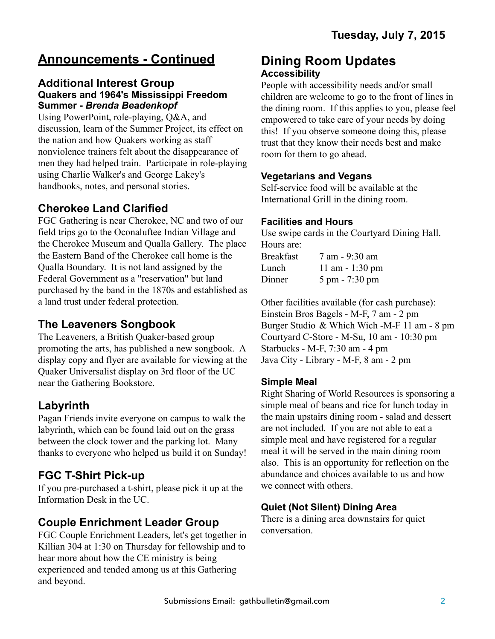# **Announcements - Continued**

#### **Additional Interest Group Quakers and 1964's Mississippi Freedom Summer -** *Brenda Beadenkopf*

Using PowerPoint, role-playing, Q&A, and discussion, learn of the Summer Project, its effect on the nation and how Quakers working as staff nonviolence trainers felt about the disappearance of men they had helped train. Participate in role-playing using Charlie Walker's and George Lakey's handbooks, notes, and personal stories.

#### **Cherokee Land Clarified**

FGC Gathering is near Cherokee, NC and two of our field trips go to the Oconaluftee Indian Village and the Cherokee Museum and Qualla Gallery. The place the Eastern Band of the Cherokee call home is the Qualla Boundary. It is not land assigned by the Federal Government as a "reservation" but land purchased by the band in the 1870s and established as a land trust under federal protection.

### **The Leaveners Songbook**

The Leaveners, a British Quaker-based group promoting the arts, has published a new songbook. A display copy and flyer are available for viewing at the Quaker Universalist display on 3rd floor of the UC near the Gathering Bookstore.

#### **Labyrinth**

Pagan Friends invite everyone on campus to walk the labyrinth, which can be found laid out on the grass between the clock tower and the parking lot. Many thanks to everyone who helped us build it on Sunday!

## **FGC T-Shirt Pick-up**

If you pre-purchased a t-shirt, please pick it up at the Information Desk in the UC.

### **Couple Enrichment Leader Group**

FGC Couple Enrichment Leaders, let's get together in Killian 304 at 1:30 on Thursday for fellowship and to hear more about how the CE ministry is being experienced and tended among us at this Gathering and beyond.

#### **Dining Room Updates Accessibility**

People with accessibility needs and/or small children are welcome to go to the front of lines in the dining room. If this applies to you, please feel empowered to take care of your needs by doing this! If you observe someone doing this, please trust that they know their needs best and make room for them to go ahead.

#### **Vegetarians and Vegans**

Self-service food will be available at the International Grill in the dining room.

#### **Facilities and Hours**

Use swipe cards in the Courtyard Dining Hall. Hours are:

| Breakfast | 7 am - 9:30 am   |
|-----------|------------------|
| Lunch     | 11 am $-1:30$ pm |
| Dinner    | 5 pm - 7:30 pm   |

Other facilities available (for cash purchase): Einstein Bros Bagels - M-F, 7 am - 2 pm Burger Studio & Which Wich -M-F 11 am - 8 pm Courtyard C-Store - M-Su, 10 am - 10:30 pm Starbucks - M-F, 7:30 am - 4 pm Java City - Library - M-F, 8 am - 2 pm

#### **Simple Meal**

Right Sharing of World Resources is sponsoring a simple meal of beans and rice for lunch today in the main upstairs dining room - salad and dessert are not included. If you are not able to eat a simple meal and have registered for a regular meal it will be served in the main dining room also. This is an opportunity for reflection on the abundance and choices available to us and how we connect with others.

#### **Quiet (Not Silent) Dining Area**

There is a dining area downstairs for quiet conversation.